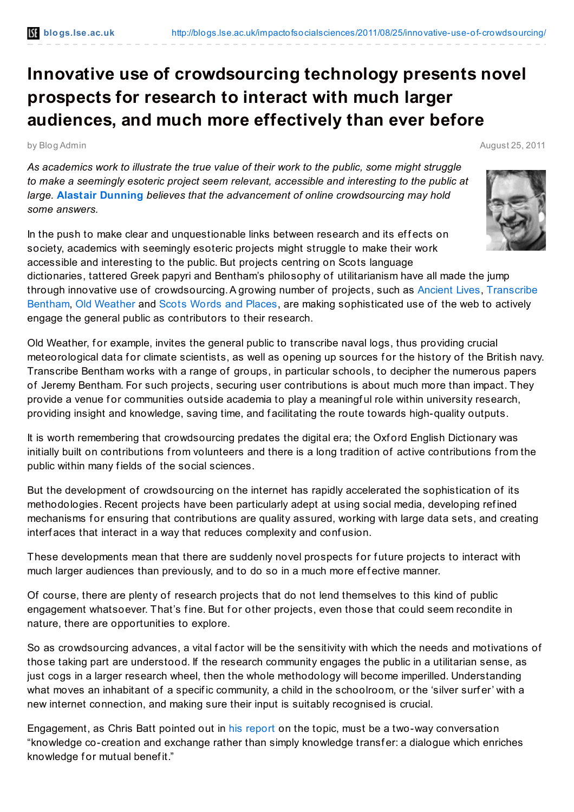## **Innovative use of crowdsourcing technology presents novel prospects for research to interact with much larger audiences, and much more effectively than ever before**

by Blog Admin August 25, 2011

*As academics work to illustrate the true value of their work to the public, some might struggle to make a seemingly esoteric project seem relevant, accessible and interesting to the public at large.* **Alastair [Dunning](http://blogs.lse.ac.uk/impactofsocialsciences/blog-contributors/#Alastair_Dunning)** *believes that the advancement of online crowdsourcing may hold some answers.*

In the push to make clear and unquestionable links between research and its effects on society, academics with seemingly esoteric projects might struggle to make their work accessible and interesting to the public. But projects centring on Scots language dictionaries, tattered Greek papyri and Bentham's philosophy of utilitarianism have all made the jump through innovative use of [crowdsourcing.A](http://www.ucl.ac.uk/transcribe-bentham/) growing number of projects, such as [Ancient](http://ancientlives.org/) Lives, Transcribe Bentham, Old [Weather](http://www.oldweather.org/) and Scots Words and [Places,](http://swap.nesc.gla.ac.uk/) are making sophisticated use of the web to actively engage the general public as contributors to their research.

Old Weather, for example, invites the general public to transcribe naval logs, thus providing crucial meteorological data for climate scientists, as well as opening up sources for the history of the British navy. Transcribe Bentham works with a range of groups, in particular schools, to decipher the numerous papers of Jeremy Bentham. For such projects, securing user contributions is about much more than impact. They provide a venue for communities outside academia to play a meaningful role within university research, providing insight and knowledge, saving time, and f acilitating the route towards high-quality outputs.

It is worth remembering that crowdsourcing predates the digital era; the Oxford English Dictionary was initially built on contributions from volunteers and there is a long tradition of active contributions from the public within many fields of the social sciences.

But the development of crowdsourcing on the internet has rapidly accelerated the sophistication of its methodologies. Recent projects have been particularly adept at using social media, developing ref ined mechanisms for ensuring that contributions are quality assured, working with large data sets, and creating interf aces that interact in a way that reduces complexity and conf usion.

These developments mean that there are suddenly novel prospects for future projects to interact with much larger audiences than previously, and to do so in a much more effective manner.

Of course, there are plenty of research projects that do not lend themselves to this kind of public engagement whatsoever. That's fine. But for other projects, even those that could seem recondite in nature, there are opportunities to explore.

So as crowdsourcing advances, a vital factor will be the sensitivity with which the needs and motivations of those taking part are understood. If the research community engages the public in a utilitarian sense, as just cogs in a larger research wheel, then the whole methodology will become imperilled. Understanding what moves an inhabitant of a specific community, a child in the schoolroom, or the 'silver surfer' with a new internet connection, and making sure their input is suitably recognised is crucial.

Engagement, as Chris Batt pointed out in his [report](http://www.jisc.ac.uk/whatwedo/programmes/digitisation/reports/digicuration.aspx) on the topic, must be a two-way conversation "knowledge co-creation and exchange rather than simply knowledge transf er: a dialogue which enriches knowledge for mutual benefit."